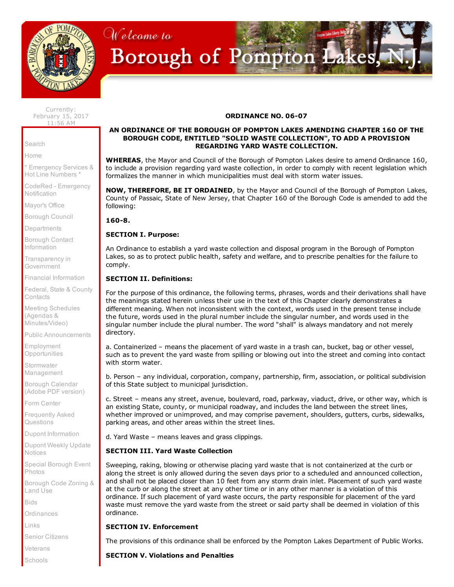

# Welcome to Borough of Pompton Lakes, 1

Currently: February 15, 2017 11:56 AM

[Search](http://www.pomptonlakesgov.com/Cit-e-Access/Search/?TID=36&TPID=4493)

[Home](http://www.pomptonlakesgov.com/index.cfm)

\* [Emergency](http://www.pomptonlakesgov.com/Cit-e-Access/webpage.cfm?TID=36&TPID=4865) Services & Hot Line Numbers \*

CodeRed - [Emergency](https://public.coderedweb.com/CNE/8050B2D9A5F0) **Notification** 

[Mayor's](http://www.pomptonlakesgov.com/Cit-e-Access/Mayor/?TID=36&TPID=4478) Office

[Borough](http://www.pomptonlakesgov.com/Cit-e-Access/TownCouncil/?TID=36&TPID=4479) Council

**[Departments](http://www.pomptonlakesgov.com/Cit-e-Access/departments/?TID=36&TPID=4481)** 

Borough Contact [Information](http://www.pomptonlakesgov.com/Cit-e-Access/ContactInfo/?TID=36&TPID=4485)

[Transparency](http://www.pomptonlakesgov.com/Cit-e-Access/webpage.cfm?TID=36&TPID=15714) in **Government** 

Financial [Information](http://www.pomptonlakesgov.com/Cit-e-Access/webpage.cfm?TID=36&TPID=11467)

Federal, State & County **[Contacts](http://www.pomptonlakesgov.com/Cit-e-Access/webpage.cfm?TID=36&TPID=8554)** 

Meeting Schedules (Agendas & [Minutes/Video\)](http://www.pomptonlakesgov.com/Cit-e-Access/Meetings/?TID=36&TPID=4490)

Public [Announcements](http://www.pomptonlakesgov.com/Cit-e-Access/News/?TID=36&TPID=4486)

Employment **[Opportunities](http://www.pomptonlakesgov.com/Cit-e-Access/Employment/?TID=36&TPID=11514)** 

**Stormwater** [Management](http://www.pomptonlakesgov.com/Cit-e-Access/webpage.cfm?TID=36&TPID=15167)

Borough [Calendar](http://www.pomptonlakesgov.com/documents/borough%20calendar%20folder/pl.2016.calendar.web.pdf) (Adobe PDF version)

Form [Center](http://www.pomptonlakesgov.com/Cit-e-Access/FormCenter/?TID=36&TPID=4488)

[Frequently](http://www.pomptonlakesgov.com/Cit-e-Access/FAQ/?TID=36&TPID=4491) Asked Questions

Dupont [Information](http://www.pomptonlakesgov.com/Cit-e-Access/webpage.cfm?TID=36&TPID=10885)

Dupont Weekly Update [Notices](http://www.pomptonlakesgov.com/Cit-e-Access/webpage.cfm?TID=36&TPID=15795)

Special [Borough](http://www.pomptonlakesgov.com/Cit-e-Access/PhotoJournal/?TID=36&TPID=4492) Event Photos

[Borough](http://clerkshq.com/default.ashx?clientsite=PomptonLakes-nj) Code Zoning & Land Use

[Bids](http://www.pomptonlakesgov.com/Cit-e-Access/Bids/?TID=36&TPID=4495)

**[Ordinances](http://www.pomptonlakesgov.com/Cit-e-Access/webpage.cfm?TID=36&TPID=4761)** 

[Links](http://www.pomptonlakesgov.com/Cit-e-Access/Links/?TID=36&TPID=4480)

Senior [Citizens](http://www.pomptonlakesgov.com/Cit-e-Access/webpage.cfm?TID=36&TPID=4708)

[Veterans](http://www.pomptonlakesgov.com/Cit-e-Access/webpage.cfm?TID=36&TPID=4864)

[Schools](http://www.pomptonlakesgov.com/Cit-e-Access/webpage.cfm?TID=36&TPID=4866)

## ORDINANCE NO. 06-07

#### AN ORDINANCE OF THE BOROUGH OF POMPTON LAKES AMENDING CHAPTER 160 OF THE BOROUGH CODE, ENTITLED "SOLID WASTE COLLECTION", TO ADD A PROVISION REGARDING YARD WASTE COLLECTION.

WHEREAS, the Mayor and Council of the Borough of Pompton Lakes desire to amend Ordinance 160, to include a provision regarding yard waste collection, in order to comply with recent legislation which formalizes the manner in which municipalities must deal with storm water issues.

NOW, THEREFORE, BE IT ORDAINED, by the Mayor and Council of the Borough of Pompton Lakes, County of Passaic, State of New Jersey, that Chapter 160 of the Borough Code is amended to add the following:

160-8.

## SECTION I. Purpose:

An Ordinance to establish a yard waste collection and disposal program in the Borough of Pompton Lakes, so as to protect public health, safety and welfare, and to prescribe penalties for the failure to comply.

## SECTION II. Definitions:

For the purpose of this ordinance, the following terms, phrases, words and their derivations shall have the meanings stated herein unless their use in the text of this Chapter clearly demonstrates a different meaning. When not inconsistent with the context, words used in the present tense include the future, words used in the plural number include the singular number, and words used in the singular number include the plural number. The word "shall" is always mandatory and not merely directory.

a. Containerized – means the placement of yard waste in a trash can, bucket, bag or other vessel, such as to prevent the yard waste from spilling or blowing out into the street and coming into contact with storm water.

b. Person – any individual, corporation, company, partnership, firm, association, or political subdivision of this State subject to municipal jurisdiction.

c. Street – means any street, avenue, boulevard, road, parkway, viaduct, drive, or other way, which is an existing State, county, or municipal roadway, and includes the land between the street lines, whether improved or unimproved, and may comprise pavement, shoulders, gutters, curbs, sidewalks, parking areas, and other areas within the street lines.

d. Yard Waste – means leaves and grass clippings.

# SECTION III. Yard Waste Collection

Sweeping, raking, blowing or otherwise placing yard waste that is not containerized at the curb or along the street is only allowed during the seven days prior to a scheduled and announced collection, and shall not be placed closer than 10 feet from any storm drain inlet. Placement of such yard waste at the curb or along the street at any other time or in any other manner is a violation of this ordinance. If such placement of yard waste occurs, the party responsible for placement of the yard waste must remove the yard waste from the street or said party shall be deemed in violation of this ordinance.

## SECTION IV. Enforcement

The provisions of this ordinance shall be enforced by the Pompton Lakes Department of Public Works.

# SECTION V. Violations and Penalties